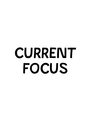# CURRENT FOCUS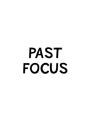# PAST **FOCUS**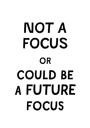# NOT A FOCUS or could be a FUTURE focus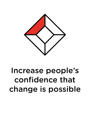

# Increase people's confidence that change is possible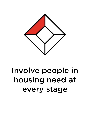

# Involve people in housing need at every stage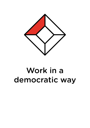

# Work in a democratic way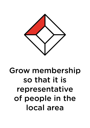

# Grow membership so that it is representative of people in the local area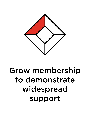

# Grow membership to demonstrate widespread support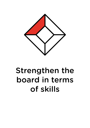

#### Strengthen the board in terms of skills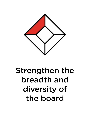

### Strengthen the breadth and diversity of the board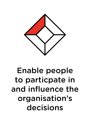

# Enable people to particpate in and influence the organisation's decisions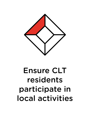

# Ensure CLT residents participate in local activities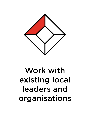

# Work with existing local leaders and organisations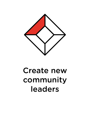

#### Create new community leaders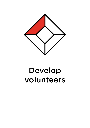

# Develop volunteers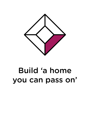

# Build 'a home you can pass on'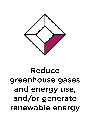

# Reduce greenhouse gases and energy use, and/or generate renewable energy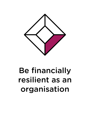

# Be financially resilient as an organisation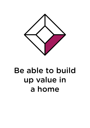

# Be able to build up value in a home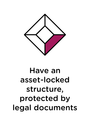

# Have an asset-locked structure, protected by legal documents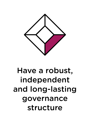

#### Have a robust, independent and long-lasting governance structure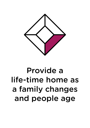

# Provide a life-time home as a family changes and people age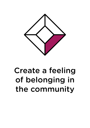

# Create a feeling of belonging in the community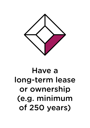

# Have a long-term lease or ownership (e.g. minimum of 250 years)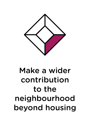

# Make a wider contribution to the neighbourhood beyond housing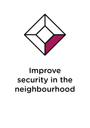

#### Improve security in the neighbourhood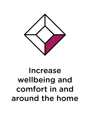

#### Increase wellbeing and comfort in and around the home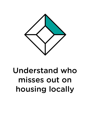

# Understand who misses out on housing locally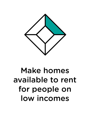

# Make homes available to rent for people on low incomes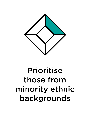

# Prioritise those from minority ethnic backgrounds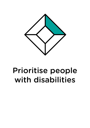

# Prioritise people with disabilities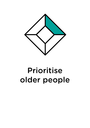

# Prioritise older people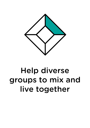

# Help diverse groups to mix and live together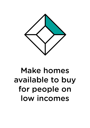

# Make homes available to buy for people on low incomes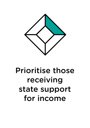

# Prioritise those receiving state support for income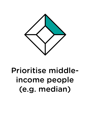

# Prioritise middleincome people (e.g. median)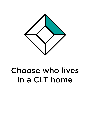

# Choose who lives in a CLT home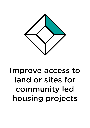

#### Improve access to land or sites for community led housing projects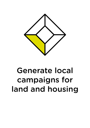

# Generate local campaigns for land and housing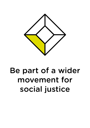

### Be part of a wider movement for social justice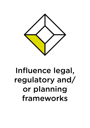

# Influence legal, regulatory and/ or planning frameworks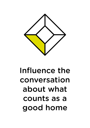

# Influence the conversation about what counts as a good home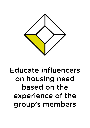

#### Educate influencers on housing need based on the experience of the group's members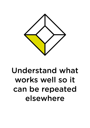

# Understand what works well so it can be repeated elsewhere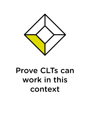

# Prove CLTs can work in this context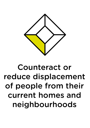

# Counteract or reduce displacement of people from their current homes and neighbourhoods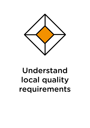

# Understand local quality requirements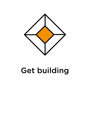

# Get building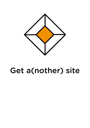

#### Get a(nother) site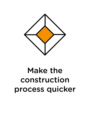

# Make the construction process quicker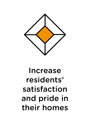

# Increase residents' satisfaction and pride in their homes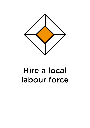

# Hire a local labour force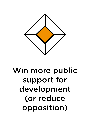

# Win more public support for development (or reduce opposition)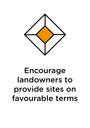

# Encourage landowners to provide sites on favourable terms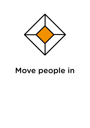

#### Move people in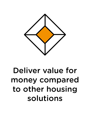

# Deliver value for money compared to other housing solutions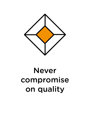

# Never compromise on quality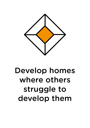

#### Develop homes where others struggle to develop them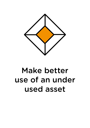

# Make better use of an under used asset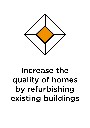

# Increase the quality of homes by refurbishing existing buildings